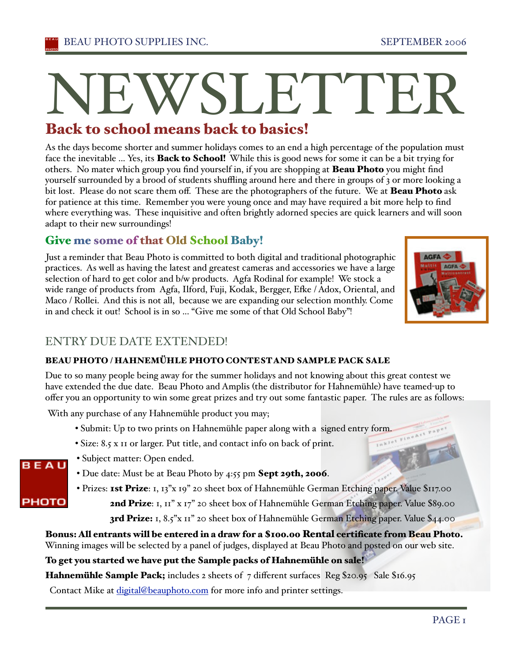# N<br>Back to EWSLETTER

#### Back t o school means back t o basics!

As the days become shorter and summer holidays comes to an end a high percentage of the population must face the inevitable ... Yes, its **Back to School!** While this is good news for some it can be a bit trying for others. No mater which group you find yourself in, if you are shopping at **Beau Photo** you might find yourself surrounded by a brood of students shuffling around here and there in groups of 3 or more looking a bit lost. Please do not scare them off. These are the photographers of the future. We at **Beau Photo** ask for patience at this time. Remember you were young once and may have required a bit more help to find where everything was. These inquisitive and often brightly adorned species are quick learners and will soon adapt to their new surroundings!

## Give me some of that Old School Baby!

Just a reminder that Beau Photo is committed to both digital and traditional photographic practices. As well as having the latest and greatest cameras and accessories we have a large selection of hard to get color and b/w products. Agfa Rodinal for example! We stock a wide range of products from Agfa, Ilford, Fuji, Kodak, Bergger, Efke / Adox, Oriental, and Maco / Rollei. And this is not all, because we are expanding our selection monthly. Come in and check it out! School is in so ... "Give me some of that Old School Baby"!



 $P^e$ 

# ENTRY DUE DATE EXTENDED!

### BEAU PHOTO / HAHNEMÜHLE PHOTO CONTESTAND SAMPLE PACK SALE

Due to so many people being away for the summer holidays and not knowing about this great contest we have extended the due date. Beau Photo and Amplis (the distributor for Hahnemühle) have teamed-up to offer you an opportunity to win some great prizes and try out some fantastic paper. The rules are as follows:

With any purchase of any Hahnemühle product you may;

- Submit: Up to two prints on Hahnemühle paper along with a signed entry form.
- Size: 8.5 x 11 or larger. Put title, and contact info on back of print.



- Subject matter: Open ended.
- Due date: Must be at Beau Photo by 4:55 pm Sept 29th, 2006.
- Prizes: 1st Prize: 1, 13"x 19" 20 sheet box of Hahnemühle German Etching paper. Value \$117.00 2nd Prize: I, II" x I7" 20 sheet box of Hahnemühle German Etching paper. Value \$89.00

3rd Prize: 1, 8.5"x II" 20 sheet box of Hahnemühle German Etching paper. Value \$44.00

Bonus: All entrants will be entered in a draw for a \$100.00 Rental certificate from Beau Photo. Winning images will be selected by a panel of judges, displayed at Beau Photo and posted on our web site.

To get you started we have put the Sample packs of Hahnemühle on sale!

Hahnemühle Sample Pack; includes 2 sheets of 7 different surfaces Reg \$20.95 Sale \$16.95

Contact Mike at digital@beauphoto.com for more info and printer settings.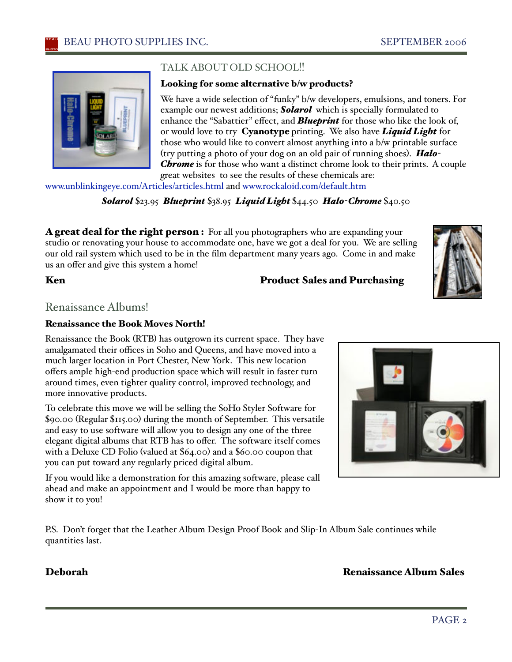

### TALK ABOUT OLD SCHOOL!!

#### Looking for some alternative b/w products?

We have a wide selection of "funky" b/w developers, emulsions, and toners. For example our newest additions; *Solarol* which is specially formulated to enhance the "Sabattier" effect, and *Blueprint* for those who like the look of, or would love to try Cyanotype printing. We also have *Liquid Light* for those who would like to convert almost anything into a b/w printable surface (try putting a photo of your dog on an old pair of running shoes). *Halo-Chrome* is for those who want a distinct chrome look to their prints.A couple great websites to see the results of these chemicals are:

www.unblinkingeye.com/Articles/articles.html and www.rockaloid.com/default.htm

*Solarol* \$23.95 *Blueprint* \$38.95 *Liquid Light* \$44.50 *Halo-Chrome* \$40.50

**A great deal for the right person :** For all you photographers who are expanding your studio or renovating your house to accommodate one, have we got a deal for you. We are selling our old rail system which used to be in the film department many years ago. Come in and make us an offer and give this system a home!

#### Ken **Product Sales and Purchasing**

Renaissance Albums!

#### Renaissance the Book Moves North!

Renaissance the Book (RTB) has outgrown its current space. They have amalgamated their offices in Soho and Queens, and have moved into a much larger location in Port Chester, New York. This new location offers ample high-end production space which will result in faster turn around times, even tighter quality control, improved technology, and more innovative products.

To celebrate this move we will be selling the SoHo Styler Software for \$90.00 (Regular \$115.00) during the month of September. This versatile and easy to use software will allow you to design any one of the three elegant digital albums that RTB has to offer. The software itself comes with a Deluxe CD Folio (valued at \$64.00) and a \$60.00 coupon that you can put toward any regularly priced digital album.

If you would like a demonstration for this amazing software, please call ahead and make an appointment and I would be more than happy to show it to you!

P.S. Don't forget that the Leather Album Design Proof Book and Slip-In Album Sale continues while quantities last.

### Deborah Renaissance Album Sales

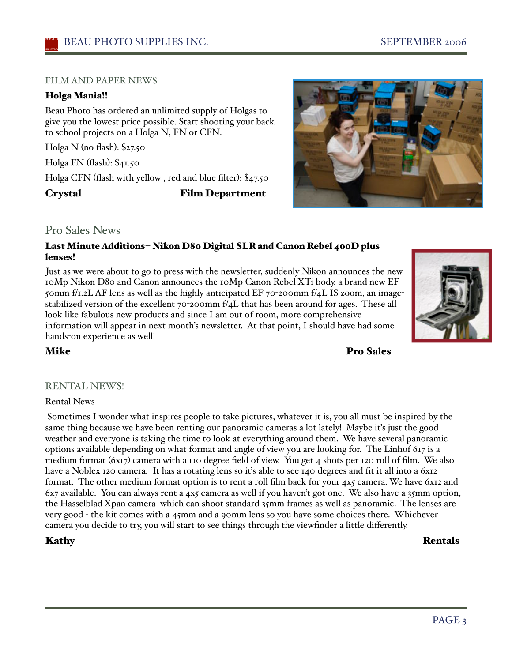#### FILM AND PAPER NEWS

#### Holga Mania!!

Beau Photo has ordered an unlimited supply of Holgas to give you the lowest price possible. Start shooting your back to school projects on a Holga N, FN or CFN.

Holga N (no flash): \$27.50

Holga FN (flash): \$41.50

Holga CFN (flash with yellow , red and blue filter): \$47.50

Crystal Film Department



#### Pro Sales News

#### Last Minute Additions– Nikon D80 Digital SLR and Canon Rebel 400D plus lenses!

Just as we were about to go to press with the newsletter, suddenly Nikon announces the new 10Mp Nikon D80 and Canon announces the 10Mp Canon Rebel XTi body, a brand new EF 50mm f/1.2L AF lens as well as the highly anticipated EF 70-200mm f/4L IS zoom, an imagestabilized version of the excellent  $70$ -200mm f/4L that has been around for ages. These all look like fabulous new products and since I am out of room, more comprehensive information will appear in next month's newsletter. At that point, I should have had some hands-on experience as well!

**Mike** Pro Sales

#### RENTAL NEWS!

#### Rental News

 Sometimes I wonder what inspires people to take pictures, whatever it is, you all must be inspired by the same thing because we have been renting our panoramic cameras a lot lately! Maybe it's just the good weather and everyone is taking the time to look at everything around them. We have several panoramic options available depending on what format and angle of view you are looking for. The Linhof 617 is a medium format (6x17) camera with a 110 degree field of view. You get 4 shots per 120 roll of film. We also have a Noblex 120 camera. It has a rotating lens so it's able to see 140 degrees and fit it all into a 6x12 format. The other medium format option is to rent a roll film back for your 4x5 camera. We have 6x12 and 6x7 available. You can always rent a 4x5 camera as well if you haven't got one. We also have a 35mm option, the Hasselblad Xpan camera which can shoot standard 35mm frames as well as panoramic. The lenses are very good - the kit comes with a 45mm and a 90mm lens so you have some choices there. Whichever camera you decide to try, you will start to see things through the viewfinder a little differently.

Kathy Rentals